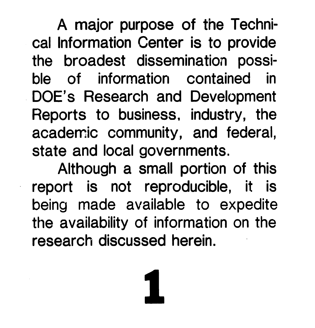A major purpose of the Technical Information Center is to provide the broadest dissemination possible of information contained in DOE's Research and Developmen Reports to business, industry, the academic community, and federal, state and local governments,

Although a small portion of this report is not reproducible, it is being made available to expedite the availability of information on the research discussed herein.

$$
\mathbf{1} \\
$$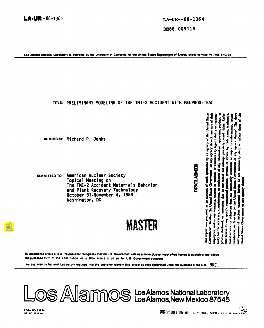DE88 009115

Los Alamos National Laboratory is operated by the University of California for the United States Department of Energy under contract W-7405-ENG-36

TITLE: PRELIMINARY MODELING OF THE TMI-2 ACCIDENT WITH MELPROG-TRAC

AUTHOR(S): Richard P. Jenks

SUBMITTED TO: American Nuclear Society Topical Meeting on The TMI-2 Accident Materials Behavior and Plant Recovery Technclogy October 31-November 4, 1988 Washington, DC

# MASTER

By acceptance of this article, the publisher recognizes that the U.S. Government retains a nonexolusive, royally-free license to publish or reproduce the published form of this contribution or to allow others to do so, for U.S. Government purposes

. he Los Alamos National Laboratory requests that the publisher identify this article as work performed under the auspices of the U.S. NRC .



FORM NO. 836 R4 **AT AP MARALIA** 

OISTRIBUTION OF THE MOTOMERY OF THE MOTOR

an agency of the United States thereof, nor any of their Legal Liability or response

Š

**Showmand** 

account of work

å

**A** 

Ĭ

the report **Elphores.** 

Noting the United States Go

DISCLAIMER

trade name, trademark

.<br>گ

ø

owned rights.

product,

apparates,

**information** 

ts that its

ă

ق ģ j

ce herein to :

ä

ä

î<br>D

e<br>Se

ā

reflect those endorsement, thereof.

ä

í  $\overline{\bullet}$ 

2

b  $\bullet$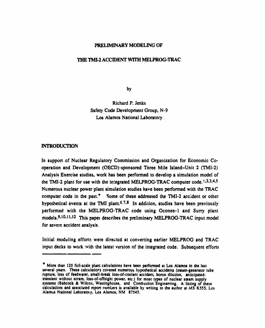#### PRELIMINARY MODELING OF

#### THE TMI-2 **ACCJDENTWITH** MELPROG-TRAC

by

Richard P. Jenks Safety Code Development Group, N-9 Los Alamos National Laboratory

#### INTRODUCTION

In support of Nuclear Regulatory Commission and Organization for Economic Cooperation and Development (QECD)-sponsored Tnrce Mile Island-Unit 2 (TMI-2) Analysis Exercise studies, work has been performed to develop a simulation model of the TMI-2 plant for use with the integrated MELPROG-TRAC computer code.  $1,2,3,4,5$ Numerous nuclear power plant simulation studies have been performed with the TRAC computer code in the past.<sup>\*</sup> Some of these addressed the TMI-2 accident or other hypothetical events at the TMI plant,  $6.7,8$  In addition, studies have been previously performed with the MELPROG-TRAC code using Oconee-1 and Surry plant  $models.^{9,10,11,12}$  This paper describes the preliminary MELPROG-TRAC input model for severe accident analysis,

Initial modeling efforts were directed at converting earlier MELPROG and TRAC input decks to work with the latest version of the integrated code. Subsequent efforts

More than 125 full-scale plant calculations have been performed at Los Alamos in the last several years. These calculatiors covered numerous hypothetical accidents (steam-generator tube rupture. loss of feedwater, small-break loss-of-coolant accident, boron dilution, anticipatedtransient without scram, loss-of-offsight power, etc.) for most types of nuclear steam supply systems (Babcock & Wilcox, Westinghouse, and Combustion Engineering. A listing of these calculations and associated report numbers is available by writing to the author at MS K555, Los Alamos National Laboratory, Los Alamos, NM 87545.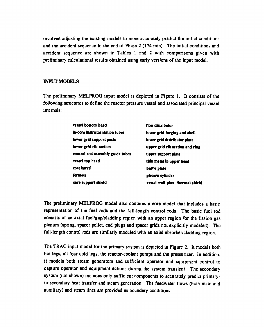involved adjusting the existing models to more accurately predict the initial conditions and the accident sequence to the end of Phase  $2(174 \text{ min})$ . The initial conditions and accident sequence are shown in Tables 1 and 2 with comparisons given with preliminary calculational results obtained using early versions of the input model,

#### **INPUT MODELS**

The preliminary MELPROG input model is depicted in Figure 1. It consists of the following structures to define the reactor pressure vessel and associated principal vessel internals:

| vessel bottom head               | flow distributor                |  |
|----------------------------------|---------------------------------|--|
| in-core instrumentation tubes    | lower grid forging and shell    |  |
| lower grid support posts         | lower grid distributor plate    |  |
| lower grid rib section           | upper grid rib section and ring |  |
| control rod assembly guide tubes | upper support plate             |  |
| vessel top head                  | thin metal in upper head        |  |
| core barrel                      | baffle plate                    |  |
| formers                          | plenum cylinder                 |  |
| core support shield              | vessel wall plus thermal shield |  |

The preliminary MELPROG model also contains a core model that includes a basic representation of the fuel rods and the full-length control rods. The basic fuel rod consists of an axial fuel/gap/cladding region with an upper region Forthe fission gas plenum [spring, spacer pellet, end plugs and spacer grids not explicitly modeled), The full-length control rods are similarly modeled with an axial absorber/cladding region.

The TRAC input model for the primary system is depicted in Figure 2. It models both hot legs, all four cold legs, the reactor-coolant pumps and the pressurizer. In addition, it models both steam generators and sufficient operator and equipment control to capture operator and equipment actions during the system transient The secondary system (not shown) includes only sufficient components to accurately predict primaryto-secondary heat transfer and steam generation. The feedwater flows (both main and **auxiliary) and** &team**lines are** provided as boundary conditions,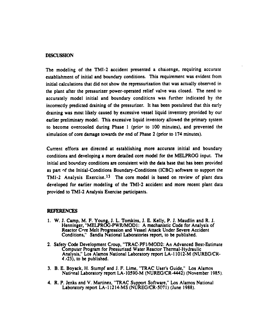#### **DISCUSSION**

The modeling of the TMI-2 accident presented a chailenge, requiring accurate establishment of initial and boundary conditions. This requirement was evident from initial calculations that did not show the repressurization that was actually observed in the plant after the pressurizer power-operated relief valve was closed. The need to accurately model initial and boundary conditions was further indicated by the incorrectly predicted draining of the pressurizer. It has been postulated that this early draining was most likely caused by excessive vessel liquid inventory provided by our earlier preliminary model. This excessive liquid inventory allowed the primary system to become overcooled during Phase 1 (prior to 100 minutes), and prevented the simulation of core damage **towards thr** end of Phase 2 (prior to 174 minutes).

Current efforts are directed at establishing more accurate initial and boundary conditions and developing a more detailed core model for the MELPROG input. The initial and boundary conditions are consistent with the data base that has been provided as part of the Initial-Conditions Boundary-Conditions (ICBC) software to support the TM1-2 Analysis Exercise.<sup>13</sup> The core model is based on review of plant data developed for earlier modeling of the TMI-2 accident and more recent plant data provided to TMI-2 Analysis Exercise participants.

#### **REFERENCES**

- 1. W. J. Camp, M. F. Young, J. L. Tomkins, J. E. Kelly, P. J. Maudlin and R. J. Henningcr, "MELPR& -PWR/MODl: A **mechanistic Code** for Analysis of Reactor Core Melt Progression and Vessel Attack Under Severe Accident Conditions," Sandia National Laboratories report, to be published.
- 2. Safety Code Development Croup, "TRAC-PF1/MOD2: An Advanced Best-Estimate Computer Program for Pressurized Water Reactor Thermal-Hydraulic Analysis," Los Alamos National Laboratory report LA-11012-M (NUREG/CR-4./23), to be published,
- 3. B. E. Boyack, H. Stumpf and J. F. Lime, "TRAC User's Guide," Los Alamos National Laboratory report LA-10590-M (NUREG/CR-4442) (November 1985).
- 4. R. P. Jenks and V. Martinez, "TRAC Support Software," Los Alamos National Laboratory report LA-11214-MS (NUREG/CR-5071) (June 1988).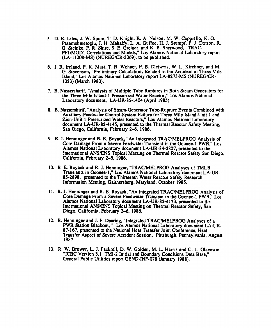- 5, D. R. Lilts, J. W. Spore, T. D. Knight, R. A. Nelson, M. W. Cappiello, K. 0. Pasamehmetoglu, J. H. Mahaffy, L. A. Guffee, H. J. Stumpf, P. J. Dotson, R. G. Steinke, P. R. Shire, S. E. Greiner, and K. B. Sherwood, "TRAC-PF1/MODl Correlations and Models," Los Alamos National Laboratory report  $(LA-11208-MS)$  (NUREG/CR-5069), to be published.
- 6. J. R. Ireland, P. K. Mast, T. R. Wehner, P. B. Elciwcis, W. L. Kirchner, and M. G. Stevenson, "Relirninary Calculations Related to the Accident at Three Mile Island," Los Alamos National Laboratory report LA-8273-MS (NUREG/CR-1353) (March 1980).
- 7. B. Nassersharif, "Analysis of Multiple-Tube Ruptures in Both Steam Generators for the Three Mile Island-1 Pressurized Water Reactor," Los Alamos National Laboratory document, LA-UR-85-1404 (April 1985),
- 8. B. Nassershirif, "Analysis of Stcarn-Generator Tube-Rupture Events Combined with Auxiliary-Fecdwater Control-Systcm Failure for Three Mile Island-[hit 1 and Zion-Unit 1 Pressurized Water Reactors," Los Alamos National Laboratory document LA-UR-85-4145, presented to the Thermal Reactor Safety Meeting, San Diego, California, February 2-6, 1986,
- 9, R, J. Henninger and B. E, Boyack, "An Integrated TRAC/MELPROG Analysis of Core Damage From a Severe Feedwater Transient in the Oconee-1 PWR," Los Alamos National Laboratory document LA-UR-84-2807, presented to the !ntemational ANS/ENS Topical Meeting on Thermal Reactor Safety San Diego, California, February 2-6, 1986.
- 10. B. E. Boyack and R. J. Henninger, "TRAC/MELPROG Analyses of TMLB' Transients in Oconce-l," Los Alamos National Laboratory document LA-UR. 85-2898, presented to the Thirteenth Water Reactor Safety Research Information Meeting, Gaithersberg, Maryland, October 1985,
- 11. R. J. Henninger and B. E. Boyack, "An Integrated TRAC/MELPROG Analysis of Core Damage From a Severe Feedwater Transient in the Oconee-1 PWR," Los Alamos National Laboratory document LA=UR-85-4173, presented to the International ANS/ENS Topical Meeting on Thermal Reactor Safety, San Diego, California, February 2-6, 1986.
- 12, R, Henninger and J, F, Dcaring, "Integrated TRAC/MELPROG Analyses of a PWR Station Blackout, " Los Alamos National Laboratory document LA-UR-87-167, presented to the National Heat Transfer Joint Conference, Heat Transfer Aspect of Severe Accident Session, Pittsburgh, Pennsylvania, August 1987.
- 13. R. W. Brower, L. J. Fackrell, D. W. Golden, M. L. Harris and C. L. Olaveson, "ICBC Version 3.1 TMI-2 Initial and Boundary Conditions Data Base," General Public Utilities report GEND-INF-078 (January 1988).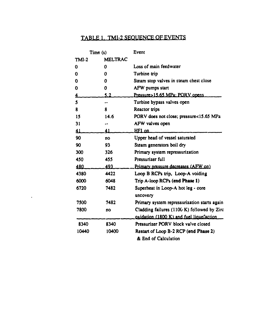### TABLE 1. TMI-2 SEQUENCE OF EVENTS

| Time(s)  |                | Event                                                                                   |  |
|----------|----------------|-----------------------------------------------------------------------------------------|--|
| TMI-2    | <b>MELTRAC</b> |                                                                                         |  |
| 0        | $\bf{0}$       | Loss of main feedwater                                                                  |  |
| $\bf{0}$ | 0              | Turbine trip                                                                            |  |
| 0        | 0              | Steam stop valves in steam chest close                                                  |  |
| 0        | 0              | AFW pumps start                                                                         |  |
| 4        | 5.2            | Pressure>15.65 MPa: PORV opens                                                          |  |
| 5        |                | Turbine bypass valves open                                                              |  |
| 8        | 8              | Reactor trips                                                                           |  |
| 15       | 14.6           | PORV does not close; pressure<15.65 MPa                                                 |  |
| 31       |                | AFW valves open                                                                         |  |
| 41       | 41             | HFI on                                                                                  |  |
| 90       | no             | Upper head of vessel saturated                                                          |  |
| 90       | 93             | Steam generators boil dry                                                               |  |
| 300      | 326            | Primary system repressurization                                                         |  |
| 450      | 455            | Pressurizer full                                                                        |  |
| 480      | 493            | Primary pressure decreases (AFW on)                                                     |  |
| 4380     | 4422           | Loop B RCPs trip, Loop-A voiding                                                        |  |
| 6000     | 6048           | Trip A-loop RCPs (end Phase 1)                                                          |  |
| 6720     | 7482           | Superheat in Loop-A hot leg - core<br>uncovery                                          |  |
| 7500     | 7482           | Primary system repressurization starts again                                            |  |
| 7800     | no             | Cladding failures (110G K) followed by Zirc<br>oxidation (1800 K) and fuel liquefaction |  |
| 8340     | 8340           | Pressurizer PORV block valve closed                                                     |  |
| 10440    | 10400          | Restart of Loop B-2 RCP (end Phase 2)<br>& End of Calculation                           |  |

 $\sim 10^{-10}$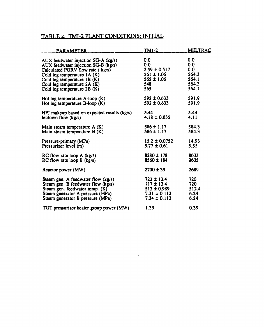## TABLE 2. TMI-2 PLANT CONDITIONS: INITIAL

| <b>PARAMETER</b>                            | $TMI-2$           | <b>MELTRAC</b> |
|---------------------------------------------|-------------------|----------------|
| $AUX$ feedwater injection $SG-A$ (kg/s)     | 0.0               | 0.0            |
| AUX feedwater injection SG-B (kg/s)         | 0.0               | 0.0            |
| Calculated PORV flow rate $(kg/s)$          | $2.59 \pm 0.517$  | 0.0            |
| Cold leg temperature 1A (K)                 | $561 \pm 1.06$    | 564.3          |
| Cold leg temperature 1B (K)                 | $565 \pm 1.06$    | 564.1          |
| Cold leg temperature 2A (K)                 | 548               | 564.3          |
| Cold $leg$ temperature $2B(K)$              | 565               | 564.1          |
| Hot leg temperature $A$ -loop $(K)$         | $592 \pm 0.633$   | 591.9          |
| Hot leg temperature $B$ -loop $(K)$         | $592 \pm 0.633$   | 591.9          |
| HPI makeup based on expected results (kg/s) | 5.44              | 5.44           |
| letdown flow (kg/s)                         | $4.18 \pm 0.335$  | 4.11           |
| Main steam temperature $A(K)$               | $586 \pm 1.17$    | 584.3          |
| Main steam temperature B (K)                | $586 \pm 1.17$    | 584.3          |
| Pressure-primary (MPa)                      | $15.2 \pm 0.0752$ | 14.93          |
| Pressurizer level (m)                       | $5.77 \pm 0.61$   | 5.55           |
| RC flow rate loop $A$ (kg/s)                | $8280 \pm 178$    | 8603           |
| RC flow rate loop $B$ (kg/s)                | $8560 \pm 184$    | 8605           |
| Reactor power (MW)                          | $2700 \pm 39$     | 2689           |
| Steam gen. A feedwater flow (kg/s)          | $723 \pm 13.4$    | 720            |
| Steam gen. B feedwater flow $(kg/s)$        | $717 \pm 13.4$    | 720            |
| Steam gen. feedwater temp. (K)              | $513 \pm 0.989$   | 512.4          |
| Steam generator A pressure (MPa)            | $7.31 \pm 0.112$  | 6.24           |
| Steam generator B pressure (MPa)            | $7.24 \pm 0.112$  | 6.24           |
| TOT pressurizer heater group power (MW)     | 1.39              | 0.39           |

 $\mathcal{L}^{\mathcal{L}}(\mathcal{L}^{\mathcal{L}})$  and  $\mathcal{L}^{\mathcal{L}}(\mathcal{L}^{\mathcal{L}})$  and  $\mathcal{L}^{\mathcal{L}}(\mathcal{L}^{\mathcal{L}})$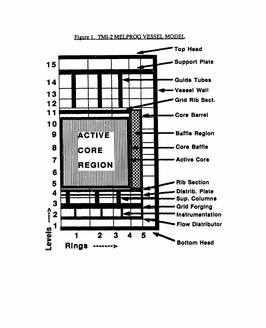

Figure 1. TMI-2 MELPROG VESSEL MODEL